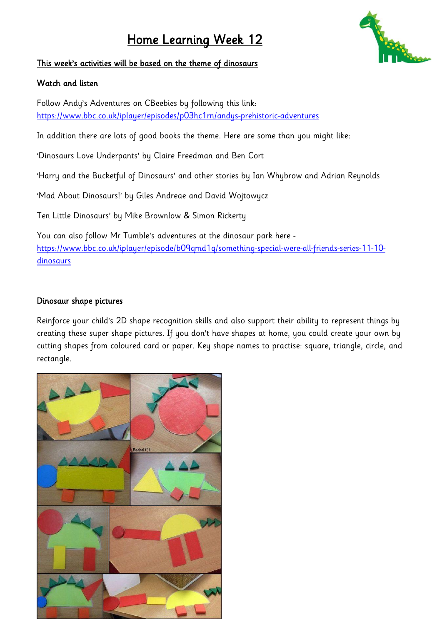# Home Learning Week 12



### This week's activities will be based on the theme of dinosaurs

#### Watch and listen

Follow Andy's Adventures on CBeebies by following this link: <https://www.bbc.co.uk/iplayer/episodes/p03hc1rn/andys-prehistoric-adventures>

In addition there are lots of good books the theme. Here are some than you might like:

'Dinosaurs Love Underpants' by Claire Freedman and Ben Cort

'Harry and the Bucketful of Dinosaurs' and other stories by Ian Whybrow and Adrian Reynolds

'Mad About Dinosaurs!' by Giles Andreae and David Wojtowycz

Ten Little Dinosaurs' by Mike Brownlow & Simon Rickerty

You can also follow Mr Tumble's adventures at the dinosaur park here [https://www.bbc.co.uk/iplayer/episode/b09qmd1q/something-special-were-all-friends-series-11-10](https://www.bbc.co.uk/iplayer/episode/b09qmd1q/something-special-were-all-friends-series-11-10-dinosaurs) [dinosaurs](https://www.bbc.co.uk/iplayer/episode/b09qmd1q/something-special-were-all-friends-series-11-10-dinosaurs)

## Dinosaur shape pictures

Reinforce your child's 2D shape recognition skills and also support their ability to represent things by creating these super shape pictures. If you don't have shapes at home, you could create your own by cutting shapes from coloured card or paper. Key shape names to practise: square, triangle, circle, and rectangle.

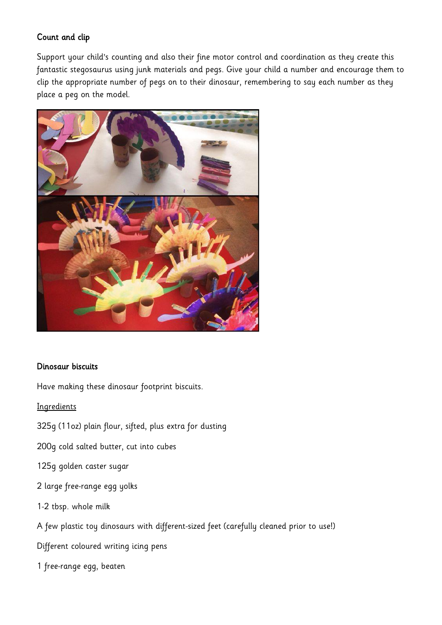## Count and clip

Support your child's counting and also their fine motor control and coordination as they create this fantastic stegosaurus using junk materials and pegs. Give your child a number and encourage them to clip the appropriate number of pegs on to their dinosaur, remembering to say each number as they place a peg on the model.



#### Dinosaur biscuits

Have making these dinosaur footprint biscuits.

**Ingredients** 

- 325g (11oz) plain flour, sifted, plus extra for dusting
- 200g cold salted butter, cut into cubes
- 125g golden caster sugar
- 2 large free-range egg yolks
- 1-2 tbsp. whole milk
- A few plastic toy dinosaurs with different-sized feet (carefully cleaned prior to use!)
- Different coloured writing icing pens
- 1 free-range egg, beaten